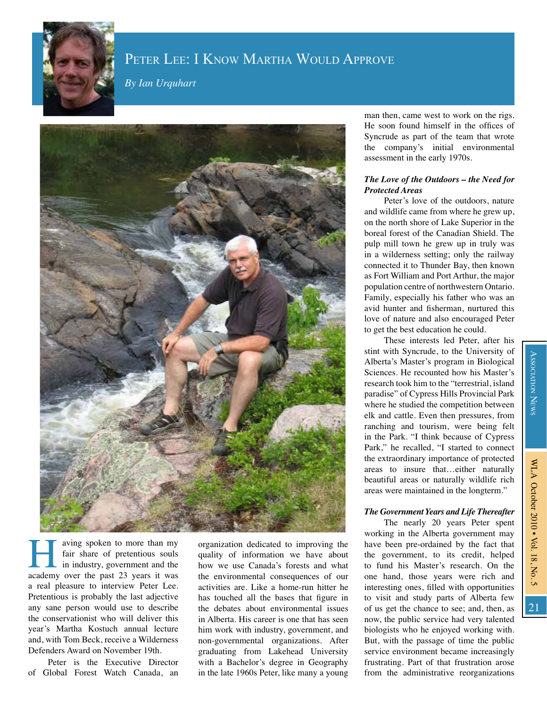

# PETER LEE: I KNOW MARTHA WOULD APPROVE

By Ian Urquhart



aving spoken to more than my fair share of pretentious souls in industry, government and the academy over the past 23 years it was a real pleasure to interview Peter Lee. Pretentious is probably the last adjective any sane person would use to describe the conservationist who will deliver this year's Martha Kostuch annual lecture and, with Tom Beck, receive a Wilderness Defenders Award on November 19th.

Peter is the Executive Director of Global Forest Watch Canada, an

organization dedicated to improving the quality of information we have about how we use Canada's forests and what the environmental consequences of our activities are. Like a home-run hitter he has touched all the bases that figure in the debates about environmental issues in Alberta. His career is one that has seen him work with industry, government, and non-governmental organizations. After graduating from Lakehead University with a Bachelor's degree in Geography in the late 1960s Peter, like many a young

man then, came west to work on the rigs. He soon found himself in the offices of Syncrude as part of the team that wrote the company's initial environmental assessment in the early 1970s.

## The Love of the Outdoors - the Need for **Protected Areas**

Peter's love of the outdoors, nature and wildlife came from where he grew up, on the north shore of Lake Superior in the boreal forest of the Canadian Shield. The pulp mill town he grew up in truly was in a wilderness setting; only the railway connected it to Thunder Bay, then known as Fort William and Port Arthur, the major population centre of northwestern Ontario. Family, especially his father who was an avid hunter and fisherman, nurtured this love of nature and also encouraged Peter to get the best education he could.

These interests led Peter, after his stint with Syncrude, to the University of Alberta's Master's program in Biological Sciences. He recounted how his Master's research took him to the "terrestrial, island paradise" of Cypress Hills Provincial Park where he studied the competition between elk and cattle. Even then pressures, from ranching and tourism, were being felt in the Park. "I think because of Cypress Park," he recalled, "I started to connect the extraordinary importance of protected areas to insure that...either naturally beautiful areas or naturally wildlife rich areas were maintained in the longterm."

### The Government Years and Life Thereafter

The nearly 20 years Peter spent working in the Alberta government may have been pre-ordained by the fact that the government, to its credit, helped to fund his Master's research. On the one hand, those years were rich and interesting ones, filled with opportunities to visit and study parts of Alberta few of us get the chance to see; and, then, as now, the public service had very talented biologists who he enjoyed working with. But, with the passage of time the public service environment became increasingly frustrating. Part of that frustration arose from the administrative reorganizations

21